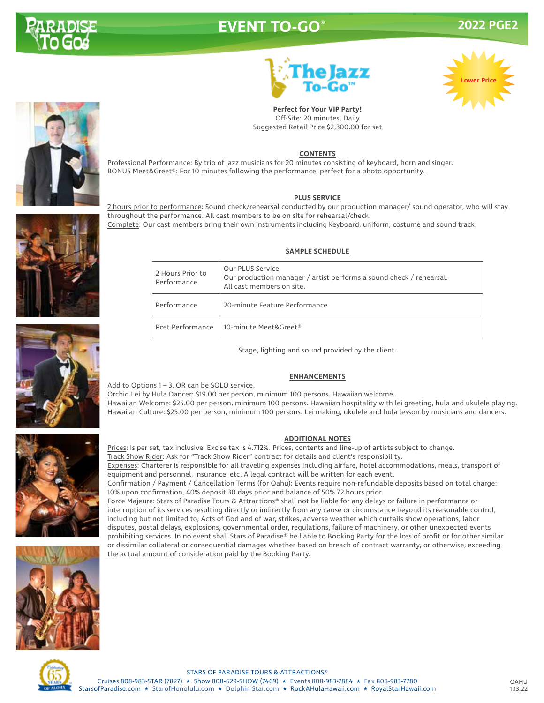

# **EVENT TO-GO® 2022 PGE2**





**Perfect for Your VIP Party!** Off-Site: 20 minutes, Daily Suggested Retail Price \$2,300.00 for set

#### **CONTENTS**

Professional Performance: By trio of jazz musicians for 20 minutes consisting of keyboard, horn and singer. BONUS Meet&Greet®: For 10 minutes following the performance, perfect for a photo opportunity.

#### **PLUS SERVICE**

2 hours prior to performance: Sound check/rehearsal conducted by our production manager/ sound operator, who will stay throughout the performance. All cast members to be on site for rehearsal/check. Complete: Our cast members bring their own instruments including keyboard, uniform, costume and sound track.

#### **SAMPLE SCHEDULE**

| 2 Hours Prior to<br>Performance | Our PLUS Service<br>Our production manager / artist performs a sound check / rehearsal.<br>All cast members on site. |
|---------------------------------|----------------------------------------------------------------------------------------------------------------------|
| Performance                     | 20-minute Feature Performance                                                                                        |
| Post Performance                | 10-minute Meet&Greet®                                                                                                |

Stage, lighting and sound provided by the client.

#### **ENHANCEMENTS**

Add to Options 1 – 3, OR can be SOLO service.

Orchid Lei by Hula Dancer: \$19.00 per person, minimum 100 persons. Hawaiian welcome. Hawaiian Welcome: \$25.00 per person, minimum 100 persons. Hawaiian hospitality with lei greeting, hula and ukulele playing. Hawaiian Culture: \$25.00 per person, minimum 100 persons. Lei making, ukulele and hula lesson by musicians and dancers.

### **ADDITIONAL NOTES**

Prices: Is per set, tax inclusive. Excise tax is 4.712%. Prices, contents and line-up of artists subject to change.

Track Show Rider: Ask for "Track Show Rider" contract for details and client's responsibility.

Expenses: Charterer is responsible for all traveling expenses including airfare, hotel accommodations, meals, transport of equipment and personnel, insurance, etc. A legal contract will be written for each event.

Confirmation / Payment / Cancellation Terms (for Oahu): Events require non-refundable deposits based on total charge: 10% upon confirmation, 40% deposit 30 days prior and balance of 50% 72 hours prior.

Force Majeure: Stars of Paradise Tours & Attractions® shall not be liable for any delays or failure in performance or interruption of its services resulting directly or indirectly from any cause or circumstance beyond its reasonable control, including but not limited to, Acts of God and of war, strikes, adverse weather which curtails show operations, labor disputes, postal delays, explosions, governmental order, regulations, failure of machinery, or other unexpected events prohibiting services. In no event shall Stars of Paradise® be liable to Booking Party for the loss of profit or for other similar or dissimilar collateral or consequential damages whether based on breach of contract warranty, or otherwise, exceeding the actual amount of consideration paid by the Booking Party.